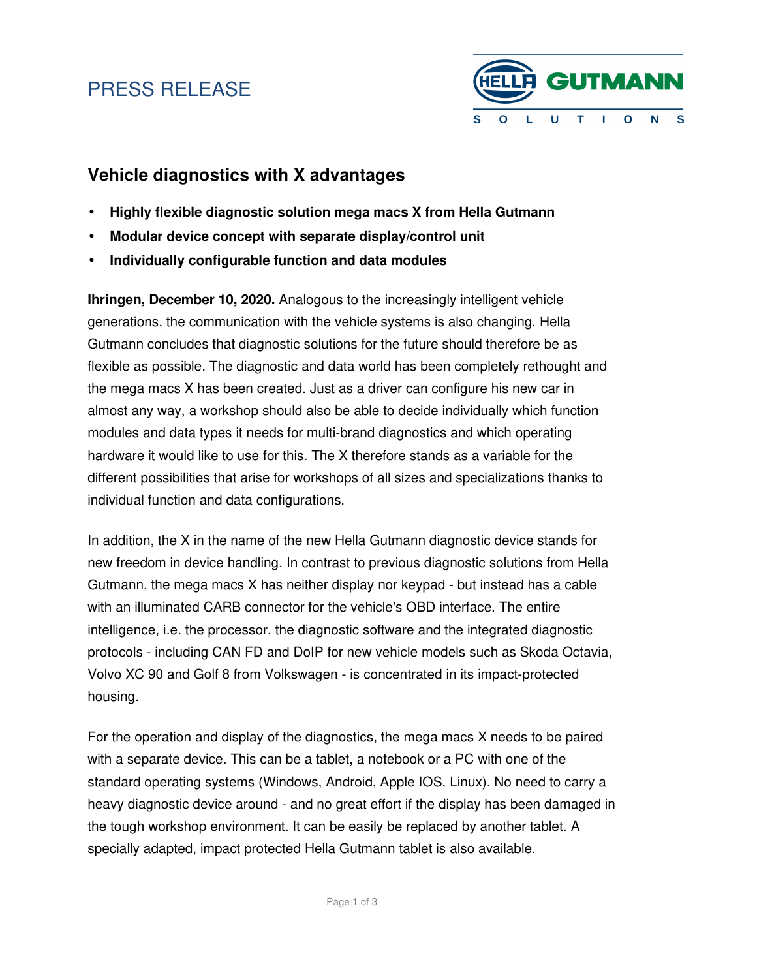# PRESS RELEASE



### **Vehicle diagnostics with X advantages**

- **Highly flexible diagnostic solution mega macs X from Hella Gutmann**
- **Modular device concept with separate display/control unit**
- **Individually configurable function and data modules**

**Ihringen, December 10, 2020.** Analogous to the increasingly intelligent vehicle generations, the communication with the vehicle systems is also changing. Hella Gutmann concludes that diagnostic solutions for the future should therefore be as flexible as possible. The diagnostic and data world has been completely rethought and the mega macs X has been created. Just as a driver can configure his new car in almost any way, a workshop should also be able to decide individually which function modules and data types it needs for multi-brand diagnostics and which operating hardware it would like to use for this. The X therefore stands as a variable for the different possibilities that arise for workshops of all sizes and specializations thanks to individual function and data configurations.

In addition, the X in the name of the new Hella Gutmann diagnostic device stands for new freedom in device handling. In contrast to previous diagnostic solutions from Hella Gutmann, the mega macs X has neither display nor keypad - but instead has a cable with an illuminated CARB connector for the vehicle's OBD interface. The entire intelligence, i.e. the processor, the diagnostic software and the integrated diagnostic protocols - including CAN FD and DoIP for new vehicle models such as Skoda Octavia, Volvo XC 90 and Golf 8 from Volkswagen - is concentrated in its impact-protected housing.

For the operation and display of the diagnostics, the mega macs X needs to be paired with a separate device. This can be a tablet, a notebook or a PC with one of the standard operating systems (Windows, Android, Apple IOS, Linux). No need to carry a heavy diagnostic device around - and no great effort if the display has been damaged in the tough workshop environment. It can be easily be replaced by another tablet. A specially adapted, impact protected Hella Gutmann tablet is also available.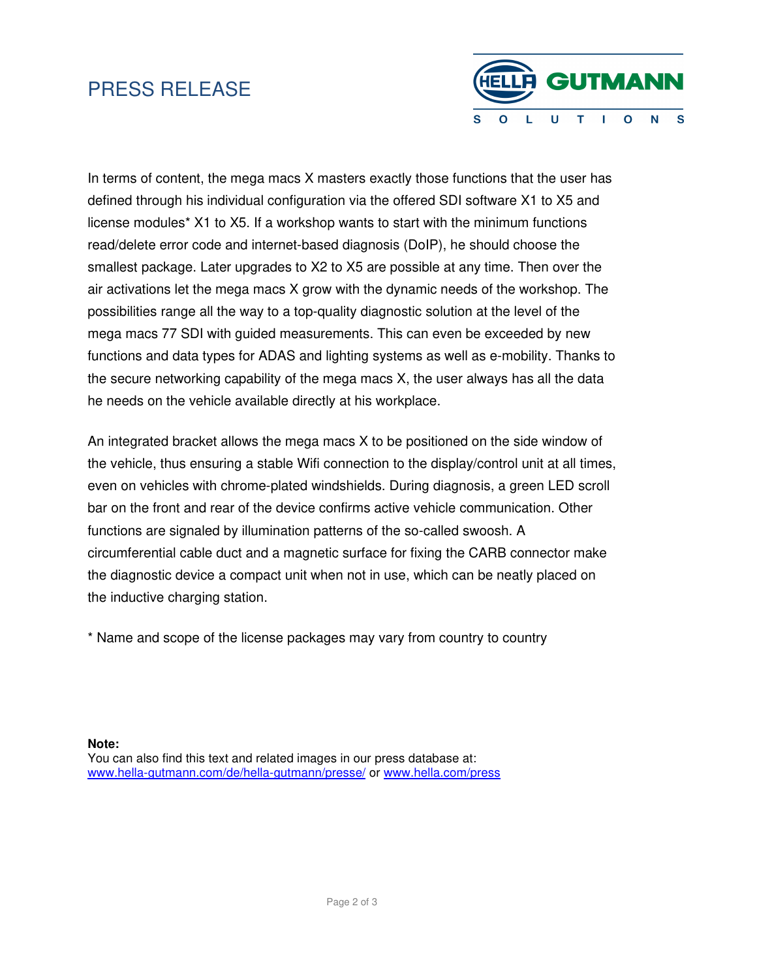## PRESS RELEASE



In terms of content, the mega macs X masters exactly those functions that the user has defined through his individual configuration via the offered SDI software X1 to X5 and license modules\* X1 to X5. If a workshop wants to start with the minimum functions read/delete error code and internet-based diagnosis (DoIP), he should choose the smallest package. Later upgrades to X2 to X5 are possible at any time. Then over the air activations let the mega macs X grow with the dynamic needs of the workshop. The possibilities range all the way to a top-quality diagnostic solution at the level of the mega macs 77 SDI with guided measurements. This can even be exceeded by new functions and data types for ADAS and lighting systems as well as e-mobility. Thanks to the secure networking capability of the mega macs X, the user always has all the data he needs on the vehicle available directly at his workplace.

An integrated bracket allows the mega macs X to be positioned on the side window of the vehicle, thus ensuring a stable Wifi connection to the display/control unit at all times, even on vehicles with chrome-plated windshields. During diagnosis, a green LED scroll bar on the front and rear of the device confirms active vehicle communication. Other functions are signaled by illumination patterns of the so-called swoosh. A circumferential cable duct and a magnetic surface for fixing the CARB connector make the diagnostic device a compact unit when not in use, which can be neatly placed on the inductive charging station.

\* Name and scope of the license packages may vary from country to country

**Note:** You can also find this text and related images in our press database at: www.hella-gutmann.com/de/hella-gutmann/presse/ or www.hella.com/press